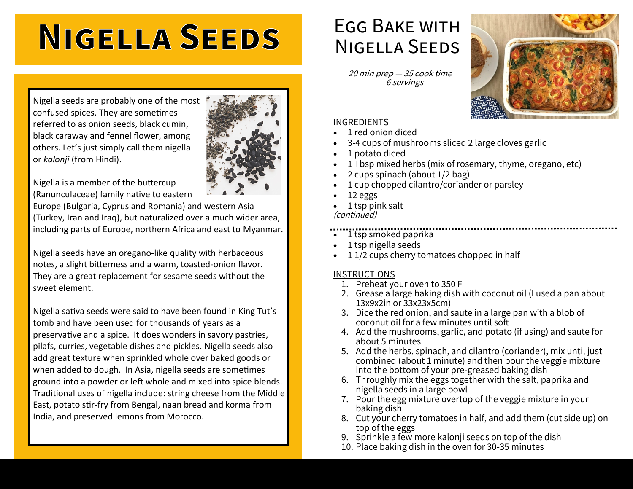# **NIGELLA SEEDS**

Nigella seeds are probably one of the most confused spices. They are sometimes referred to as onion seeds, black cumin, black caraway and fennel flower, among others. Let's just simply call them nigella or *kalonji* (from Hindi).



Nigella is a member of the buttercup (Ranunculaceae) family native to eastern

Europe (Bulgaria, Cyprus and Romania) and western Asia (Turkey, Iran and Iraq), but naturalized over a much wider area, including parts of Europe, northern Africa and east to Myanmar.

Nigella seeds have an oregano-like quality with herbaceous notes, a slight bitterness and a warm, toasted-onion flavor. They are a great replacement for sesame seeds without the sweet element.

Nigella sativa seeds were said to have been found in King Tut's tomb and have been used for thousands of years as a preservative and a spice. It does wonders in savory pastries, pilafs, curries, vegetable dishes and pickles. Nigella seeds also add great texture when sprinkled whole over baked goods or when added to dough. In Asia, nigella seeds are sometimes ground into a powder or left whole and mixed into spice blends. Traditional uses of nigella include: string cheese from the Middle East, potato stir-fry from Bengal, naan bread and korma from India, and preserved lemons from Morocco.

### Egg Bake with Nigella Seeds

20 min prep — 35 cook time — 6 servings



#### INGREDIENTS

- 1 red onion diced
- 3-4 cups of mushrooms sliced 2 large cloves garlic
- 1 potato diced
- 1 Tbsp mixed herbs (mix of rosemary, thyme, oregano, etc)
- 2 cups spinach (about 1/2 bag)
- 1 cup chopped cilantro/coriander or parsley
- 12 eggs
- 1 tsp pink salt (continued)
- 1 tsp smoked paprika
- 1 tsp nigella seeds
- 11/2 cups cherry tomatoes chopped in half

#### INSTRUCTIONS

- 1. Preheat your oven to 350 F
- 2. Grease a large baking dish with coconut oil (I used a pan about 13x9x2in or 33x23x5cm)
- 3. Dice the red onion, and saute in a large pan with a blob of coconut oil for a few minutes until soft
- 4. Add the mushrooms, garlic, and potato (if using) and saute for about 5 minutes
- 5. Add the herbs. spinach, and cilantro (coriander), mix until just combined (about 1 minute) and then pour the veggie mixture into the bottom of your pre-greased baking dish
- 6. Throughly mix the eggs together with the salt, paprika and nigella seeds in a large bowl
- 7. Pour the egg mixture overtop of the veggie mixture in your baking dish
- 8. Cut your cherry tomatoes in half, and add them (cut side up) on top of the eggs
- 9. Sprinkle a few more kalonji seeds on top of the dish
- 10. Place baking dish in the oven for 30-35 minutes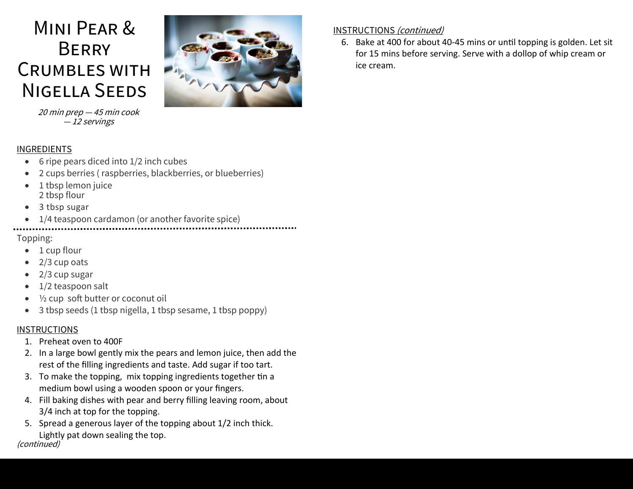## Mini Pear & **BERRY** Crumbles with Nigella Seeds



### — 12 servings

INGREDIENTS • 6 ripe pears diced into 1/2 inch cubes

20 min prep — 45 min cook

- 2 cups berries ( raspberries, blackberries, or blueberries)
- 1 tbsp lemon juice 2 tbsp flour
- 3 tbsp sugar
- 1/4 teaspoon cardamon (or another favorite spice)

#### Topping:

- 1 cup flour
- 2/3 cup oats
- 2/3 cup sugar
- 1/2 teaspoon salt
- ½ cup soft butter or coconut oil
- 3 tbsp seeds (1 tbsp nigella, 1 tbsp sesame, 1 tbsp poppy)

#### **INSTRUCTIONS**

- 1. Preheat oven to 400F
- 2. In a large bowl gently mix the pears and lemon juice, then add the rest of the filling ingredients and taste. Add sugar if too tart.
- 3. To make the topping, mix topping ingredients together tin a medium bowl using a wooden spoon or your fingers.
- 4. Fill baking dishes with pear and berry filling leaving room, about 3/4 inch at top for the topping.
- 5. Spread a generous layer of the topping about 1/2 inch thick. Lightly pat down sealing the top.

#### INSTRUCTIONS (continued)

6. Bake at 400 for about 40-45 mins or until topping is golden. Let sit for 15 mins before serving. Serve with a dollop of whip cream or ice cream.

#### (continued)